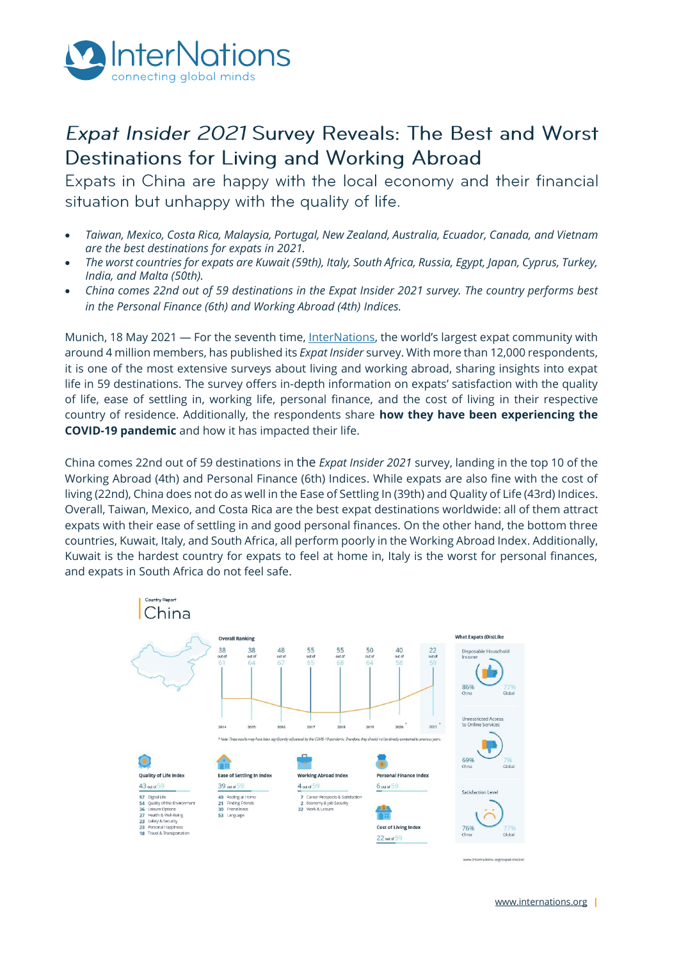

# Expat Insider 2021 Survey Reveals: The Best and Worst Destinations for Living and Working Abroad

Expats in China are happy with the local economy and their financial situation but unhappy with the quality of life.

- *Taiwan, Mexico, Costa Rica, Malaysia, Portugal, New Zealand, Australia, Ecuador, Canada, and Vietnam are the best destinations for expats in 2021.*
- *The worst countries for expats are Kuwait (59th), Italy, South Africa, Russia, Egypt, Japan, Cyprus, Turkey, India, and Malta (50th).*
- *China comes 22nd out of 59 destinations in the Expat Insider 2021 survey. The country performs best in the Personal Finance (6th) and Working Abroad (4th) Indices.*

Munich, 18 May 2021 — For the seventh time[, InterNations](http://www.internations.org/), the world's largest expat community with around 4 million members, has published its *Expat Insider* survey. With more than 12,000 respondents, it is one of the most extensive surveys about living and working abroad, sharing insights into expat life in 59 destinations. The survey offers in-depth information on expats' satisfaction with the quality of life, ease of settling in, working life, personal finance, and the cost of living in their respective country of residence. Additionally, the respondents share **how they have been experiencing the COVID-19 pandemic** and how it has impacted their life.

China comes 22nd out of 59 destinations in the *Expat Insider 2021* survey, landing in the top 10 of the Working Abroad (4th) and Personal Finance (6th) Indices. While expats are also fine with the cost of living (22nd), China does not do as well in the Ease of Settling In (39th) and Quality of Life (43rd) Indices. Overall, Taiwan, Mexico, and Costa Rica are the best expat destinations worldwide: all of them attract expats with their ease of settling in and good personal finances. On the other hand, the bottom three countries, Kuwait, Italy, and South Africa, all perform poorly in the Working Abroad Index. Additionally, Kuwait is the hardest country for expats to feel at home in, Italy is the worst for personal finances, and expats in South Africa do not feel safe.

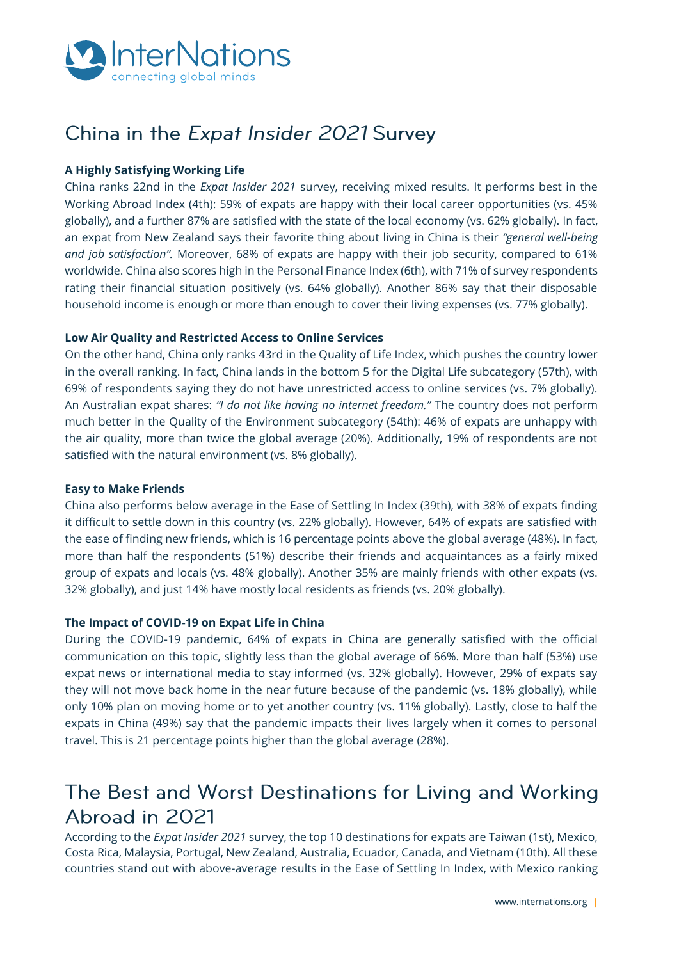

# China in the Expat Insider 2021 Survey

### **A Highly Satisfying Working Life**

China ranks 22nd in the *Expat Insider 2021* survey, receiving mixed results. It performs best in the Working Abroad Index (4th): 59% of expats are happy with their local career opportunities (vs. 45% globally), and a further 87% are satisfied with the state of the local economy (vs. 62% globally). In fact, an expat from New Zealand says their favorite thing about living in China is their *"general well-being and job satisfaction".* Moreover, 68% of expats are happy with their job security, compared to 61% worldwide. China also scores high in the Personal Finance Index (6th), with 71% of survey respondents rating their financial situation positively (vs. 64% globally). Another 86% say that their disposable household income is enough or more than enough to cover their living expenses (vs. 77% globally).

### **Low Air Quality and Restricted Access to Online Services**

On the other hand, China only ranks 43rd in the Quality of Life Index, which pushes the country lower in the overall ranking. In fact, China lands in the bottom 5 for the Digital Life subcategory (57th), with 69% of respondents saying they do not have unrestricted access to online services (vs. 7% globally). An Australian expat shares: *"I do not like having no internet freedom."* The country does not perform much better in the Quality of the Environment subcategory (54th): 46% of expats are unhappy with the air quality, more than twice the global average (20%). Additionally, 19% of respondents are not satisfied with the natural environment (vs. 8% globally).

### **Easy to Make Friends**

China also performs below average in the Ease of Settling In Index (39th), with 38% of expats finding it difficult to settle down in this country (vs. 22% globally). However, 64% of expats are satisfied with the ease of finding new friends, which is 16 percentage points above the global average (48%). In fact, more than half the respondents (51%) describe their friends and acquaintances as a fairly mixed group of expats and locals (vs. 48% globally). Another 35% are mainly friends with other expats (vs. 32% globally), and just 14% have mostly local residents as friends (vs. 20% globally).

### **The Impact of COVID-19 on Expat Life in China**

During the COVID-19 pandemic, 64% of expats in China are generally satisfied with the official communication on this topic, slightly less than the global average of 66%. More than half (53%) use expat news or international media to stay informed (vs. 32% globally). However, 29% of expats say they will not move back home in the near future because of the pandemic (vs. 18% globally), while only 10% plan on moving home or to yet another country (vs. 11% globally). Lastly, close to half the expats in China (49%) say that the pandemic impacts their lives largely when it comes to personal travel. This is 21 percentage points higher than the global average (28%).

## The Best and Worst Destinations for Living and Working Abroad in 2021

According to the *Expat Insider 2021* survey, the top 10 destinations for expats are Taiwan (1st), Mexico, Costa Rica, Malaysia, Portugal, New Zealand, Australia, Ecuador, Canada, and Vietnam (10th). All these countries stand out with above-average results in the Ease of Settling In Index, with Mexico ranking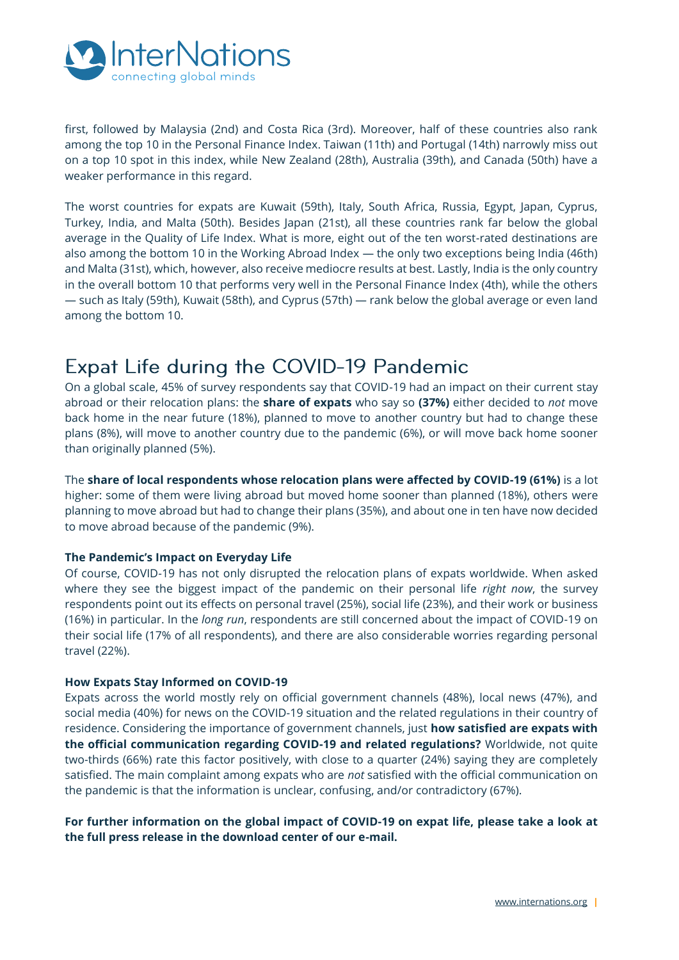

first, followed by Malaysia (2nd) and Costa Rica (3rd). Moreover, half of these countries also rank among the top 10 in the Personal Finance Index. Taiwan (11th) and Portugal (14th) narrowly miss out on a top 10 spot in this index, while New Zealand (28th), Australia (39th), and Canada (50th) have a weaker performance in this regard.

The worst countries for expats are Kuwait (59th), Italy, South Africa, Russia, Egypt, Japan, Cyprus, Turkey, India, and Malta (50th). Besides Japan (21st), all these countries rank far below the global average in the Quality of Life Index. What is more, eight out of the ten worst-rated destinations are also among the bottom 10 in the Working Abroad Index — the only two exceptions being India (46th) and Malta (31st), which, however, also receive mediocre results at best. Lastly, India is the only country in the overall bottom 10 that performs very well in the Personal Finance Index (4th), while the others — such as Italy (59th), Kuwait (58th), and Cyprus (57th) — rank below the global average or even land among the bottom 10.

## Expat Life during the COVID-19 Pandemic

On a global scale, 45% of survey respondents say that COVID-19 had an impact on their current stay abroad or their relocation plans: the **share of expats** who say so **(37%)** either decided to *not* move back home in the near future (18%), planned to move to another country but had to change these plans (8%), will move to another country due to the pandemic (6%), or will move back home sooner than originally planned (5%).

The **share of local respondents whose relocation plans were affected by COVID-19 (61%)** is a lot higher: some of them were living abroad but moved home sooner than planned (18%), others were planning to move abroad but had to change their plans (35%), and about one in ten have now decided to move abroad because of the pandemic (9%).

### **The Pandemic's Impact on Everyday Life**

Of course, COVID-19 has not only disrupted the relocation plans of expats worldwide. When asked where they see the biggest impact of the pandemic on their personal life *right now*, the survey respondents point out its effects on personal travel (25%), social life (23%), and their work or business (16%) in particular. In the *long run*, respondents are still concerned about the impact of COVID-19 on their social life (17% of all respondents), and there are also considerable worries regarding personal travel (22%).

### **How Expats Stay Informed on COVID-19**

Expats across the world mostly rely on official government channels (48%), local news (47%), and social media (40%) for news on the COVID-19 situation and the related regulations in their country of residence. Considering the importance of government channels, just **how satisfied are expats with the official communication regarding COVID-19 and related regulations?** Worldwide, not quite two-thirds (66%) rate this factor positively, with close to a quarter (24%) saying they are completely satisfied. The main complaint among expats who are *not* satisfied with the official communication on the pandemic is that the information is unclear, confusing, and/or contradictory (67%).

**For further information on the global impact of COVID-19 on expat life, please take a look at the full press release in the download center of our e-mail.**